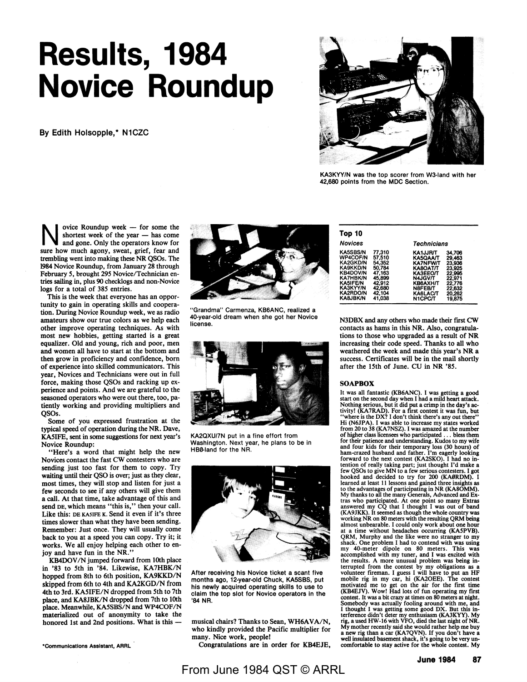# **Results, 1984 Novice Roundup**

By Edith Holsopple,\* N1CZC



KA3KYY/N was the top scorer from W3-land with her 42,680 points from the MDC Section.

 $\sum_{\text{shortest week of the year — has come the shortest week of the year — has come on the year.}$ and gone. Only the operators know for sure how much agony, sweat, grief, fear and trembling went into making these **NR** QSOs. The 1984 Novice Roundup, from January 28 through February *5,* brought 295 Novice/Technician entries sailing in, plus 90 checklogs and non-Novice logs for a total of 385 entries.

This is the week that everyone has an opportunity to gain in operating skills and cooperation. During Novice Roundup week, we as radio amateurs show our true colors as we help each other improve operating techniques. As with most new hobbies, getting started is a great equalizer. Old and young, rich and poor, men and women all have to start at the bottom and then grow in proficiency and confidence, born of experience into skilled communicators. This year, Novices and Technicians were out in full force, making those QSOs and racking up experience and points. And we are grateful to the seasoned operators who were out there, too, patiently working and providing multipliers and QSOs.

Some of you expressed frustration at the typical speed of operation during the **NR.** Dave, KASIFE, sent in some suggestions for next year's Novice Roundup:

"Here's a word that might help the new Novices contact the fast CW contesters who are sending just too fast for them to copy. Try waiting until their QSO is over; just as they clear, most times, they will stop and listen for just a few seconds to see if any others will give them a call. At that time, take advantage of this and send DE, which means "this is," then your call. Like this: DE KA5IFE K. Send it even if it's three times slower than what they have been sending. Remember: Just once. They will usually come back to you at a speed you can copy. Try it; it works. We all enjoy helping each other to enjoy and have fun in the NR."

KB400V /N jumped forward from 10th place in '83 to 5th in '84. Likewise, KA7HBK/N hopped from 8th to 6th position, KA9KKD/N skipped from 6th to 4th and KA2KGD/N from 4th to 3rd. KA5IFE/N dropped from 5th to 7th place, and KASJBK/N dropped from 7th to 10th place. Meanwhile, KA5SBS/N and WP4COF/N materialized out of anonymity to take the honored 1st and 2nd positions. What is this --



"Grandma" Carmenza, KB6ANC, realized a 40-year-old dream when she got her Novice license.



**KA2QXU/7N** put in a fine effort from Washington. Next year, he plans to be in HB0-land for the NR.



After receiving his Novice ticket a scant five months ago, 12-year-old Chuck, **KA5SBS,** put his newly acquired operating skills to use to claim the top slot for Novice operators in the **'84 NR.** 

musical chairs? Thanks to Sean, WH6AVA/N, who kindly provided the Pacific multiplier for many. Nice work, people!

Congratulations are in order for KB4EJE,

| Top 10                                                                                                                                                                                  |                                                                                                  |                                                                                                                                              |                                                                                                  |  |  |  |  |
|-----------------------------------------------------------------------------------------------------------------------------------------------------------------------------------------|--------------------------------------------------------------------------------------------------|----------------------------------------------------------------------------------------------------------------------------------------------|--------------------------------------------------------------------------------------------------|--|--|--|--|
| <b>Novices</b>                                                                                                                                                                          |                                                                                                  |                                                                                                                                              | <b>Technicians</b>                                                                               |  |  |  |  |
| <b>KA5SBS/N</b><br><b>WP4COF/N</b><br><b>KA2GKD/N</b><br><b>KA9KKD/N</b><br><b>KB4DOV/N</b><br><b>KA7HBK/N</b><br><b>KA5IFE/N</b><br>KA3KYY/N<br><b>KA2RDO/N</b><br><b>KA&amp;JBK/N</b> | 77.310<br>57.510<br>54,352<br>50.784<br>47.163<br>45,899<br>42.912<br>42,680<br>42.104<br>41.038 | <b>KA1JJR/T</b><br><b>KA5QAA/T</b><br><b>KA7NFW/T</b><br>KA8OAT/T<br>КАЗЕЕОЛ<br>N4JGV/T<br><b>KB6AXH/T</b><br>N8FEB/T<br>KA6LAC/T<br>N1CPC/T | 34.706<br>29,463<br>23,936<br>23,925<br>22.995<br>22.971<br>22.776<br>22,632<br>20.262<br>19,875 |  |  |  |  |

N3DBX and any others who made their first **CW**  contacts as hams in this **NR.** Also, congratulations to those who upgraded as a result of **NR**  increasing their code speed. Thanks to all who weathered the week and made this year's NR a success. Certificates will be in the mail shortly after the 15th of June. CU in NR '85.

#### **SOAPBOX**

It was all fantastic (KB6ANC). I was getting a good start on the second day when I had a mild heart attack. Nothing serious, but it did put a crimp in the day's ac-tivity! (KA 7RAD). For a first contest it was fun, but "where is the DX? I don't think there's any out there" Hi (N6JPA). I was able to increase my states worked from 20 to 38 (KA7NSZ). I was amazed at the number of higher class licensees who participated ... bless them for their patience and understanding. Kudos to my wife and four kids for their temporary loss (30 hours) of ham-crazed husband and father. I'm eagerly looking forward to the next contest (KA2SKO). I had no intention of really taking part; just thought I'd make a few QSOs to give MN to a few serious contesters. I got hooked and decided to try for 200 **(KAØRDM).** I learned at least 11 lessons and gained three insights as to the advantages of participating in NR **(KA8OMM)**. My thanks to all the many Generals, Advanced and Ex-<br>tras who participated. At one point so many Extras<br>answered my CQ that I thought I was out of band<br>(KA9JKK). It seemed as though the whole country was<br>working NR on 80 m almost unbearable. I could only work about one hour at a time without headaches occurring (KASPVB). QRM, Murphy and the like were no stranger to my shack. One problem I had to contend with was using my 40-meter dipole on 80 meters. This was accomplished with my tuner, and I was excited with the results. A more unusual problem was being in-<br>terrupted from the contest by my obligations as a<br>volunteer fireman. I guess I will have to put an HF<br>mobile rig in my car, hi (KA2OEE). The contest<br>motivated me to get on contest. It was a bit crazy at times on 80 meters at night. Somebody was actually fooling around with me, and I thought I was getting some good DX. But this in-<br>terference didn't deter my enthusiasm (KA3KYY). My<br>rig, a used HW-16 with VFO, died the last night of NR. My mother recently said she would rather help me buy a new rig than a car (KA7QVN). If you don't have a well insulated basement shack, it's going to be very uncomfortable to stay active for the whole contest. My

\*Communications **Assistant,** ARRL

**June 1984 87**